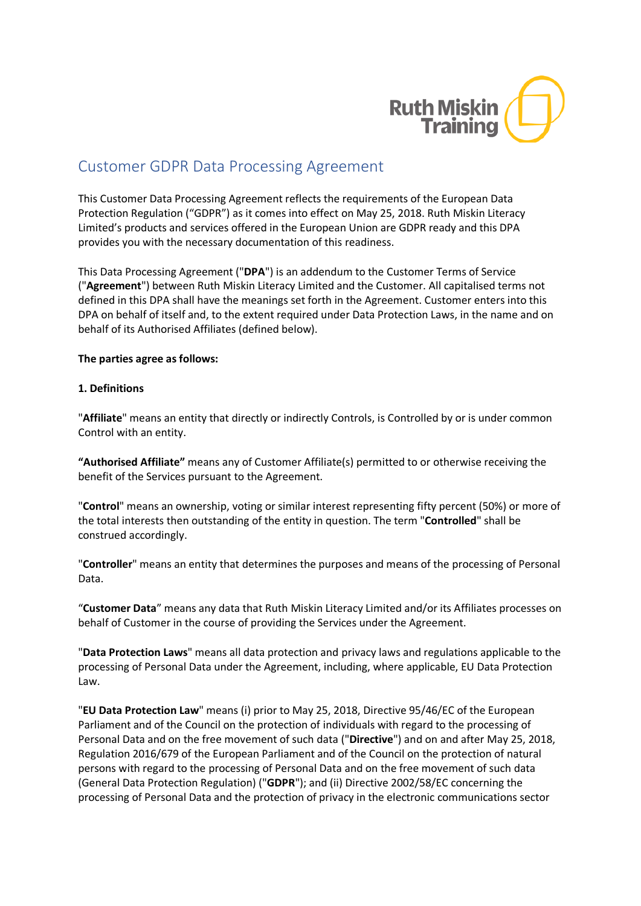

# Customer GDPR Data Processing Agreement

This Customer Data Processing Agreement reflects the requirements of the European Data Protection Regulation ("GDPR") as it comes into effect on May 25, 2018. Ruth Miskin Literacy Limited's products and services offered in the European Union are GDPR ready and this DPA provides you with the necessary documentation of this readiness.

This Data Processing Agreement ("**DPA**") is an addendum to the Customer Terms of Service ("**Agreement**") between Ruth Miskin Literacy Limited and the Customer. All capitalised terms not defined in this DPA shall have the meanings set forth in the Agreement. Customer enters into this DPA on behalf of itself and, to the extent required under Data Protection Laws, in the name and on behalf of its Authorised Affiliates (defined below).

## **The parties agree as follows:**

#### **1. Definitions**

"**Affiliate**" means an entity that directly or indirectly Controls, is Controlled by or is under common Control with an entity.

**"Authorised Affiliate"** means any of Customer Affiliate(s) permitted to or otherwise receiving the benefit of the Services pursuant to the Agreement.

"**Control**" means an ownership, voting or similar interest representing fifty percent (50%) or more of the total interests then outstanding of the entity in question. The term "**Controlled**" shall be construed accordingly.

"**Controller**" means an entity that determines the purposes and means of the processing of Personal Data.

"**Customer Data**" means any data that Ruth Miskin Literacy Limited and/or its Affiliates processes on behalf of Customer in the course of providing the Services under the Agreement.

"**Data Protection Laws**" means all data protection and privacy laws and regulations applicable to the processing of Personal Data under the Agreement, including, where applicable, EU Data Protection Law.

"**EU Data Protection Law**" means (i) prior to May 25, 2018, Directive 95/46/EC of the European Parliament and of the Council on the protection of individuals with regard to the processing of Personal Data and on the free movement of such data ("**Directive**") and on and after May 25, 2018, Regulation 2016/679 of the European Parliament and of the Council on the protection of natural persons with regard to the processing of Personal Data and on the free movement of such data (General Data Protection Regulation) ("**GDPR**"); and (ii) Directive 2002/58/EC concerning the processing of Personal Data and the protection of privacy in the electronic communications sector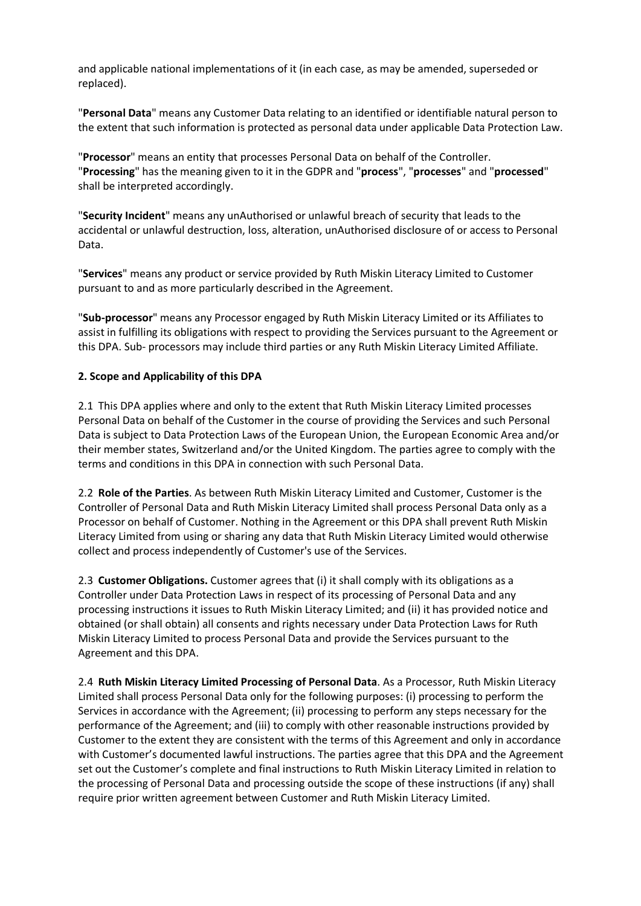and applicable national implementations of it (in each case, as may be amended, superseded or replaced).

"**Personal Data**" means any Customer Data relating to an identified or identifiable natural person to the extent that such information is protected as personal data under applicable Data Protection Law.

"**Processor**" means an entity that processes Personal Data on behalf of the Controller. "**Processing**" has the meaning given to it in the GDPR and "**process**", "**processes**" and "**processed**" shall be interpreted accordingly.

"**Security Incident**" means any unAuthorised or unlawful breach of security that leads to the accidental or unlawful destruction, loss, alteration, unAuthorised disclosure of or access to Personal Data.

"**Services**" means any product or service provided by Ruth Miskin Literacy Limited to Customer pursuant to and as more particularly described in the Agreement.

"**Sub-processor**" means any Processor engaged by Ruth Miskin Literacy Limited or its Affiliates to assist in fulfilling its obligations with respect to providing the Services pursuant to the Agreement or this DPA. Sub- processors may include third parties or any Ruth Miskin Literacy Limited Affiliate.

#### **2. Scope and Applicability of this DPA**

2.1 This DPA applies where and only to the extent that Ruth Miskin Literacy Limited processes Personal Data on behalf of the Customer in the course of providing the Services and such Personal Data is subject to Data Protection Laws of the European Union, the European Economic Area and/or their member states, Switzerland and/or the United Kingdom. The parties agree to comply with the terms and conditions in this DPA in connection with such Personal Data.

2.2 **Role of the Parties**. As between Ruth Miskin Literacy Limited and Customer, Customer is the Controller of Personal Data and Ruth Miskin Literacy Limited shall process Personal Data only as a Processor on behalf of Customer. Nothing in the Agreement or this DPA shall prevent Ruth Miskin Literacy Limited from using or sharing any data that Ruth Miskin Literacy Limited would otherwise collect and process independently of Customer's use of the Services.

2.3 **Customer Obligations.** Customer agrees that (i) it shall comply with its obligations as a Controller under Data Protection Laws in respect of its processing of Personal Data and any processing instructions it issues to Ruth Miskin Literacy Limited; and (ii) it has provided notice and obtained (or shall obtain) all consents and rights necessary under Data Protection Laws for Ruth Miskin Literacy Limited to process Personal Data and provide the Services pursuant to the Agreement and this DPA.

2.4 **Ruth Miskin Literacy Limited Processing of Personal Data**. As a Processor, Ruth Miskin Literacy Limited shall process Personal Data only for the following purposes: (i) processing to perform the Services in accordance with the Agreement; (ii) processing to perform any steps necessary for the performance of the Agreement; and (iii) to comply with other reasonable instructions provided by Customer to the extent they are consistent with the terms of this Agreement and only in accordance with Customer's documented lawful instructions. The parties agree that this DPA and the Agreement set out the Customer's complete and final instructions to Ruth Miskin Literacy Limited in relation to the processing of Personal Data and processing outside the scope of these instructions (if any) shall require prior written agreement between Customer and Ruth Miskin Literacy Limited.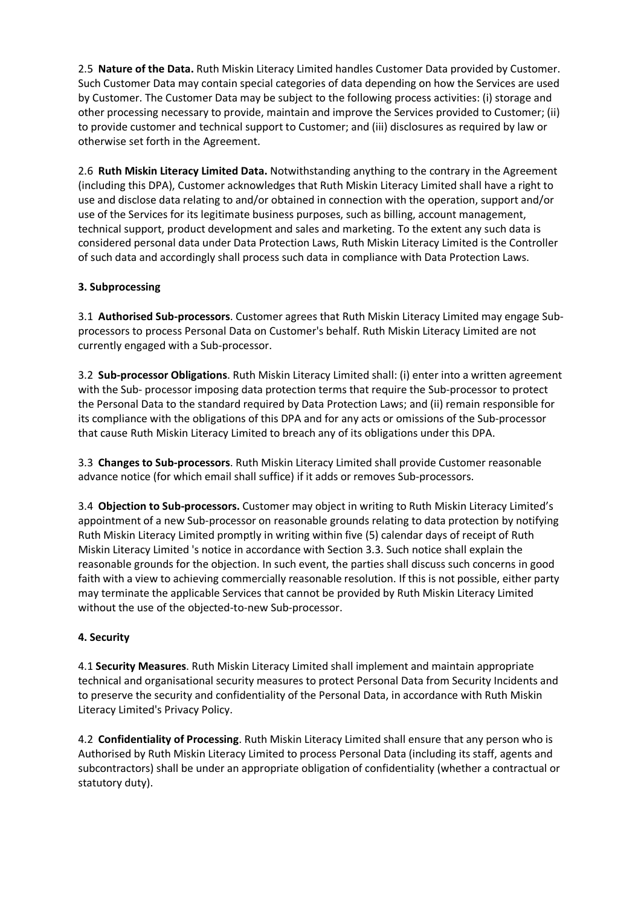2.5 **Nature of the Data.** Ruth Miskin Literacy Limited handles Customer Data provided by Customer. Such Customer Data may contain special categories of data depending on how the Services are used by Customer. The Customer Data may be subject to the following process activities: (i) storage and other processing necessary to provide, maintain and improve the Services provided to Customer; (ii) to provide customer and technical support to Customer; and (iii) disclosures as required by law or otherwise set forth in the Agreement.

2.6 **Ruth Miskin Literacy Limited Data.** Notwithstanding anything to the contrary in the Agreement (including this DPA), Customer acknowledges that Ruth Miskin Literacy Limited shall have a right to use and disclose data relating to and/or obtained in connection with the operation, support and/or use of the Services for its legitimate business purposes, such as billing, account management, technical support, product development and sales and marketing. To the extent any such data is considered personal data under Data Protection Laws, Ruth Miskin Literacy Limited is the Controller of such data and accordingly shall process such data in compliance with Data Protection Laws.

## **3. Subprocessing**

3.1 **Authorised Sub-processors**. Customer agrees that Ruth Miskin Literacy Limited may engage Subprocessors to process Personal Data on Customer's behalf. Ruth Miskin Literacy Limited are not currently engaged with a Sub-processor.

3.2 **Sub-processor Obligations**. Ruth Miskin Literacy Limited shall: (i) enter into a written agreement with the Sub- processor imposing data protection terms that require the Sub-processor to protect the Personal Data to the standard required by Data Protection Laws; and (ii) remain responsible for its compliance with the obligations of this DPA and for any acts or omissions of the Sub-processor that cause Ruth Miskin Literacy Limited to breach any of its obligations under this DPA.

3.3 **Changes to Sub-processors**. Ruth Miskin Literacy Limited shall provide Customer reasonable advance notice (for which email shall suffice) if it adds or removes Sub-processors.

3.4 **Objection to Sub-processors.** Customer may object in writing to Ruth Miskin Literacy Limited's appointment of a new Sub-processor on reasonable grounds relating to data protection by notifying Ruth Miskin Literacy Limited promptly in writing within five (5) calendar days of receipt of Ruth Miskin Literacy Limited 's notice in accordance with Section 3.3. Such notice shall explain the reasonable grounds for the objection. In such event, the parties shall discuss such concerns in good faith with a view to achieving commercially reasonable resolution. If this is not possible, either party may terminate the applicable Services that cannot be provided by Ruth Miskin Literacy Limited without the use of the objected-to-new Sub-processor.

## **4. Security**

4.1 **Security Measures**. Ruth Miskin Literacy Limited shall implement and maintain appropriate technical and organisational security measures to protect Personal Data from Security Incidents and to preserve the security and confidentiality of the Personal Data, in accordance with Ruth Miskin Literacy Limited's Privacy Policy.

4.2 **Confidentiality of Processing**. Ruth Miskin Literacy Limited shall ensure that any person who is Authorised by Ruth Miskin Literacy Limited to process Personal Data (including its staff, agents and subcontractors) shall be under an appropriate obligation of confidentiality (whether a contractual or statutory duty).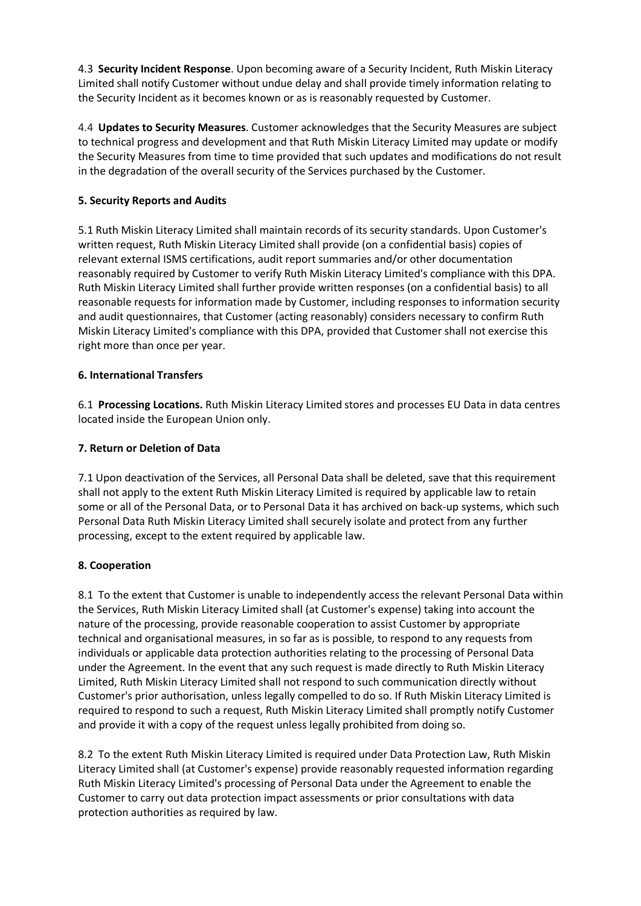4.3 **Security Incident Response**. Upon becoming aware of a Security Incident, Ruth Miskin Literacy Limited shall notify Customer without undue delay and shall provide timely information relating to the Security Incident as it becomes known or as is reasonably requested by Customer.

4.4 **Updates to Security Measures**. Customer acknowledges that the Security Measures are subject to technical progress and development and that Ruth Miskin Literacy Limited may update or modify the Security Measures from time to time provided that such updates and modifications do not result in the degradation of the overall security of the Services purchased by the Customer.

# **5. Security Reports and Audits**

5.1 Ruth Miskin Literacy Limited shall maintain records of its security standards. Upon Customer's written request, Ruth Miskin Literacy Limited shall provide (on a confidential basis) copies of relevant external ISMS certifications, audit report summaries and/or other documentation reasonably required by Customer to verify Ruth Miskin Literacy Limited's compliance with this DPA. Ruth Miskin Literacy Limited shall further provide written responses (on a confidential basis) to all reasonable requests for information made by Customer, including responses to information security and audit questionnaires, that Customer (acting reasonably) considers necessary to confirm Ruth Miskin Literacy Limited's compliance with this DPA, provided that Customer shall not exercise this right more than once per year.

# **6. International Transfers**

6.1 **Processing Locations.** Ruth Miskin Literacy Limited stores and processes EU Data in data centres located inside the European Union only.

# **7. Return or Deletion of Data**

7.1 Upon deactivation of the Services, all Personal Data shall be deleted, save that this requirement shall not apply to the extent Ruth Miskin Literacy Limited is required by applicable law to retain some or all of the Personal Data, or to Personal Data it has archived on back-up systems, which such Personal Data Ruth Miskin Literacy Limited shall securely isolate and protect from any further processing, except to the extent required by applicable law.

## **8. Cooperation**

8.1 To the extent that Customer is unable to independently access the relevant Personal Data within the Services, Ruth Miskin Literacy Limited shall (at Customer's expense) taking into account the nature of the processing, provide reasonable cooperation to assist Customer by appropriate technical and organisational measures, in so far as is possible, to respond to any requests from individuals or applicable data protection authorities relating to the processing of Personal Data under the Agreement. In the event that any such request is made directly to Ruth Miskin Literacy Limited, Ruth Miskin Literacy Limited shall not respond to such communication directly without Customer's prior authorisation, unless legally compelled to do so. If Ruth Miskin Literacy Limited is required to respond to such a request, Ruth Miskin Literacy Limited shall promptly notify Customer and provide it with a copy of the request unless legally prohibited from doing so.

8.2 To the extent Ruth Miskin Literacy Limited is required under Data Protection Law, Ruth Miskin Literacy Limited shall (at Customer's expense) provide reasonably requested information regarding Ruth Miskin Literacy Limited's processing of Personal Data under the Agreement to enable the Customer to carry out data protection impact assessments or prior consultations with data protection authorities as required by law.